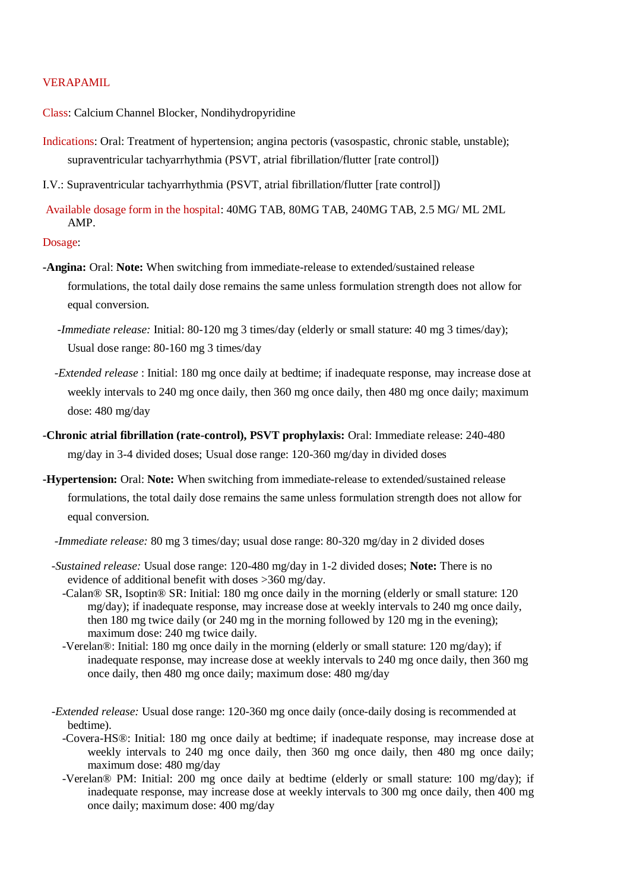# VERAPAMIL

Class: Calcium Channel Blocker, Nondihydropyridine

Indications: Oral: Treatment of hypertension; angina pectoris (vasospastic, chronic stable, unstable); supraventricular tachyarrhythmia (PSVT, atrial fibrillation/flutter [rate control])

I.V.: Supraventricular tachyarrhythmia (PSVT, atrial fibrillation/flutter [rate control])

Available dosage form in the hospital: 40MG TAB, 80MG TAB, 240MG TAB, 2.5 MG/ ML 2ML AMP.

Dosage:

- **-Angina:** Oral: **Note:** When switching from immediate-release to extended/sustained release formulations, the total daily dose remains the same unless formulation strength does not allow for equal conversion.
	- *-Immediate release:* Initial: 80-120 mg 3 times/day (elderly or small stature: 40 mg 3 times/day); Usual dose range: 80-160 mg 3 times/day
	- *-Extended release* : Initial: 180 mg once daily at bedtime; if inadequate response, may increase dose at weekly intervals to 240 mg once daily, then 360 mg once daily, then 480 mg once daily; maximum dose: 480 mg/day
- **-Chronic atrial fibrillation (rate-control), PSVT prophylaxis:** Oral: Immediate release: 240-480 mg/day in 3-4 divided doses; Usual dose range: 120-360 mg/day in divided doses
- **-Hypertension:** Oral: **Note:** When switching from immediate-release to extended/sustained release formulations, the total daily dose remains the same unless formulation strength does not allow for equal conversion.
	- *-Immediate release:* 80 mg 3 times/day; usual dose range: 80-320 mg/day in 2 divided doses
	- *-Sustained release:* Usual dose range: 120-480 mg/day in 1-2 divided doses; **Note:** There is no evidence of additional benefit with doses >360 mg/day.
		- -Calan® SR, Isoptin® SR: Initial: 180 mg once daily in the morning (elderly or small stature: 120 mg/day); if inadequate response, may increase dose at weekly intervals to 240 mg once daily, then 180 mg twice daily (or 240 mg in the morning followed by 120 mg in the evening); maximum dose: 240 mg twice daily.
		- -Verelan®: Initial: 180 mg once daily in the morning (elderly or small stature: 120 mg/day); if inadequate response, may increase dose at weekly intervals to 240 mg once daily, then 360 mg once daily, then 480 mg once daily; maximum dose: 480 mg/day
	- *-Extended release:* Usual dose range: 120-360 mg once daily (once-daily dosing is recommended at bedtime).
		- -Covera-HS®: Initial: 180 mg once daily at bedtime; if inadequate response, may increase dose at weekly intervals to 240 mg once daily, then 360 mg once daily, then 480 mg once daily; maximum dose: 480 mg/day
		- -Verelan® PM: Initial: 200 mg once daily at bedtime (elderly or small stature: 100 mg/day); if inadequate response, may increase dose at weekly intervals to 300 mg once daily, then 400 mg once daily; maximum dose: 400 mg/day